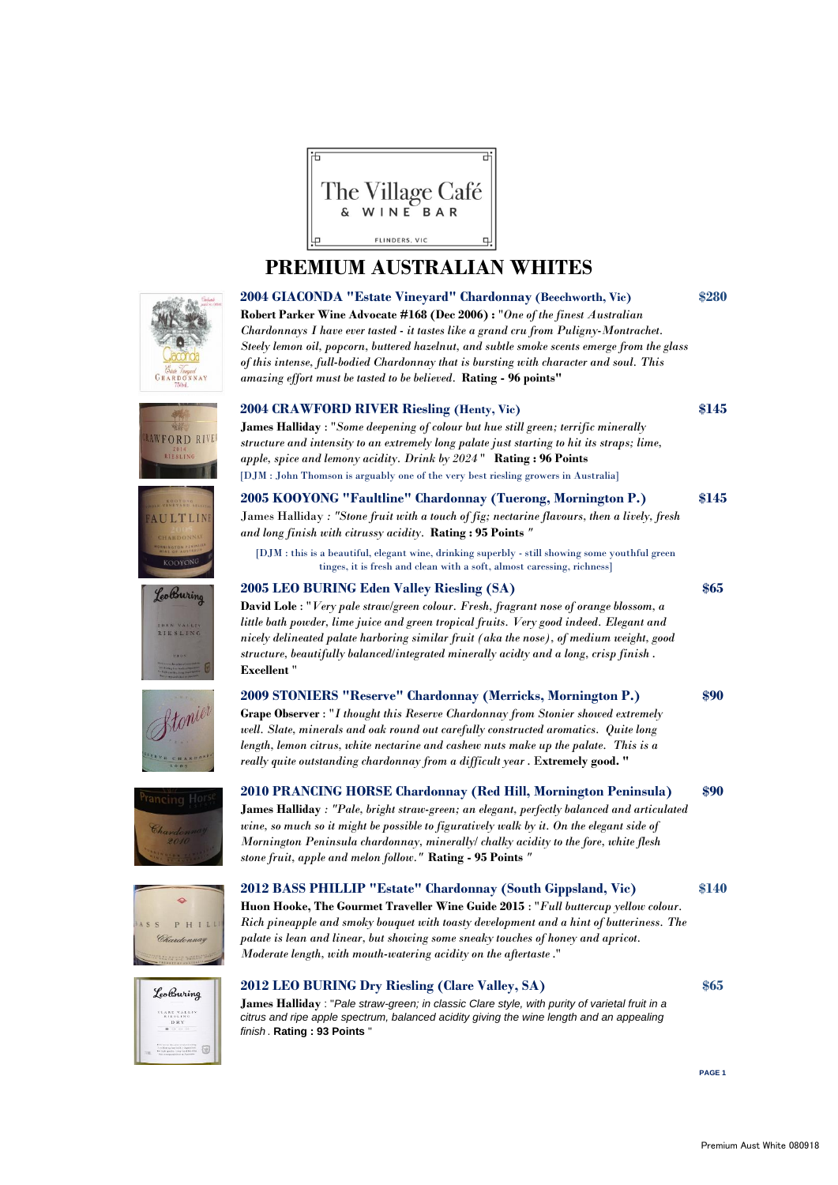

## **PREMIUM AUSTRALIAN WHITES**







# RAWFORD RIVE













#### **2004 CRAWFORD RIVER Riesling (Henty, Vic) \$145**

**James Halliday** : "*Some deepening of colour but hue still green; terrific minerally structure and intensity to an extremely long palate just starting to hit its straps; lime, apple, spice and lemony acidity. Drink by 2024* " **Rating : 96 Points** [DJM : John Thomson is arguably one of the very best riesling growers in Australia]

**2005 KOOYONG "Faultline" Chardonnay (Tuerong, Mornington P.) \$145** James Halliday *: "Stone fruit with a touch of fig; nectarine flavours, then a lively, fresh and long finish with citrussy acidity.* **Rating : 95 Points** *"*

[DJM : this is a beautiful, elegant wine, drinking superbly - still showing some youthful green tinges, it is fresh and clean with a soft, almost caressing, richness]

#### **2005 LEO BURING Eden Valley Riesling (SA) \$65**

**David Lole** : "*Very pale straw/green colour. Fresh, fragrant nose of orange blossom, a little bath powder, lime juice and green tropical fruits. Very good indeed. Elegant and nicely delineated palate harboring similar fruit (aka the nose), of medium weight, good structure, beautifully balanced/integrated minerally acidty and a long, crisp finish* . **Excellent** "

| 2009 STONIERS "Reserve" Chardonnay (Merricks, Mornington P.)                             | \$90 |
|------------------------------------------------------------------------------------------|------|
| <b>Grape Observer</b> : "I thought this Reserve Chardonnay from Stonier showed extremely |      |
| well. Slate, minerals and oak round out carefully constructed aromatics. Quite long      |      |
| length, lemon citrus, white nectarine and cashew nuts make up the palate. This is a      |      |
| really quite outstanding chardonnay from a difficult year. Extremely good. "             |      |

**2010 PRANCING HORSE Chardonnay (Red Hill, Mornington Peninsula) \$90 James Halliday** *: "Pale, bright straw-green; an elegant, perfectly balanced and articulated wine, so much so it might be possible to figuratively walk by it. On the elegant side of Mornington Peninsula chardonnay, minerally/ chalky acidity to the fore, white flesh stone fruit, apple and melon follow."* **Rating - 95 Points** *"*

**2012 BASS PHILLIP "Estate" Chardonnay (South Gippsland, Vic) \$140 Huon Hooke, The Gourmet Traveller Wine Guide 2015** : "*Full buttercup yellow colour. Rich pineapple and smoky bouquet with toasty development and a hint of butteriness. The palate is lean and linear, but showing some sneaky touches of honey and apricot. Moderate length, with mouth-watering acidity on the aftertaste* ."

#### **2012 LEO BURING Dry Riesling (Clare Valley, SA) \$65**

**James Halliday** : "*Pale straw-green; in classic Clare style, with purity of varietal fruit in a citrus and ripe apple spectrum, balanced acidity giving the wine length and an appealing finish* . **Rating : 93 Points** "

**PAGE 1**